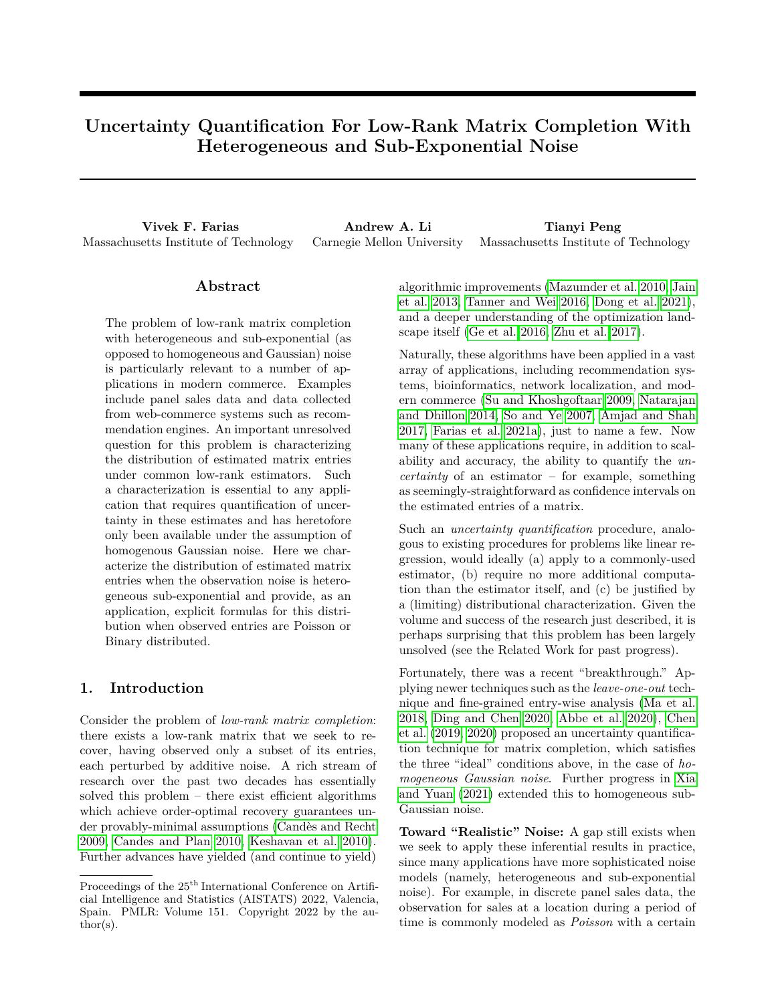# **Uncertainty Quantification For Low-Rank Matrix Completion With Heterogeneous and Sub-Exponential Noise**

**Vivek F. Farias Andrew A. Li Tianyi Peng** Massachusetts Institute of Technology Carnegie Mellon University Massachusetts Institute of Technology

## **Abstract**

The problem of low-rank matrix completion with heterogeneous and sub-exponential (as opposed to homogeneous and Gaussian) noise is particularly relevant to a number of applications in modern commerce. Examples include panel sales data and data collected from web-commerce systems such as recommendation engines. An important unresolved question for this problem is characterizing the distribution of estimated matrix entries under common low-rank estimators. Such a characterization is essential to any application that requires quantification of uncertainty in these estimates and has heretofore only been available under the assumption of homogenous Gaussian noise. Here we characterize the distribution of estimated matrix entries when the observation noise is heterogeneous sub-exponential and provide, as an application, explicit formulas for this distribution when observed entries are Poisson or Binary distributed.

## **1. Introduction**

Consider the problem of *low-rank matrix completion*: there exists a low-rank matrix that we seek to recover, having observed only a subset of its entries, each perturbed by additive noise. A rich stream of research over the past two decades has essentially solved this problem – there exist efficient algorithms which achieve order-optimal recovery guarantees under provably-minimal assumptions [\(Candès and Recht](#page-8-0) [2009,](#page-8-0) [Candes and Plan 2010,](#page-8-1) [Keshavan et al. 2010\)](#page-9-0). Further advances have yielded (and continue to yield) algorithmic improvements [\(Mazumder et al. 2010,](#page-9-1) [Jain](#page-9-2) [et al. 2013,](#page-9-2) [Tanner and Wei 2016,](#page-9-3) [Dong et al. 2021\)](#page-9-4), and a deeper understanding of the optimization landscape itself [\(Ge et al. 2016,](#page-9-5) [Zhu et al. 2017\)](#page-10-0).

Naturally, these algorithms have been applied in a vast array of applications, including recommendation systems, bioinformatics, network localization, and modern commerce [\(Su and Khoshgoftaar 2009,](#page-9-6) [Natarajan](#page-9-7) [and Dhillon 2014,](#page-9-7) [So and Ye 2007,](#page-9-8) [Amjad and Shah](#page-8-2) [2017,](#page-8-2) [Farias et al. 2021a\)](#page-9-9), just to name a few. Now many of these applications require, in addition to scalability and accuracy, the ability to quantify the *uncertainty* of an estimator – for example, something as seemingly-straightforward as confidence intervals on the estimated entries of a matrix.

Such an *uncertainty quantification* procedure, analogous to existing procedures for problems like linear regression, would ideally (a) apply to a commonly-used estimator, (b) require no more additional computation than the estimator itself, and (c) be justified by a (limiting) distributional characterization. Given the volume and success of the research just described, it is perhaps surprising that this problem has been largely unsolved (see the Related Work for past progress).

Fortunately, there was a recent "breakthrough." Applying newer techniques such as the *leave-one-out* technique and fine-grained entry-wise analysis [\(Ma et al.](#page-9-10) [2018,](#page-9-10) [Ding and Chen 2020,](#page-9-11) [Abbe et al. 2020\)](#page-8-3), [Chen](#page-9-12) [et al.](#page-9-12) [\(2019,](#page-9-12) [2020\)](#page-9-13) proposed an uncertainty quantification technique for matrix completion, which satisfies the three "ideal" conditions above, in the case of *homogeneous Gaussian noise*. Further progress in [Xia](#page-10-1) [and Yuan](#page-10-1) [\(2021\)](#page-10-1) extended this to homogeneous sub-Gaussian noise.

**Toward "Realistic" Noise:** A gap still exists when we seek to apply these inferential results in practice, since many applications have more sophisticated noise models (namely, heterogeneous and sub-exponential noise). For example, in discrete panel sales data, the observation for sales at a location during a period of time is commonly modeled as *Poisson* with a certain

Proceedings of the  $25<sup>th</sup>$  International Conference on Artificial Intelligence and Statistics (AISTATS) 2022, Valencia, Spain. PMLR: Volume 151. Copyright 2022 by the au- $\text{thor}(s)$ .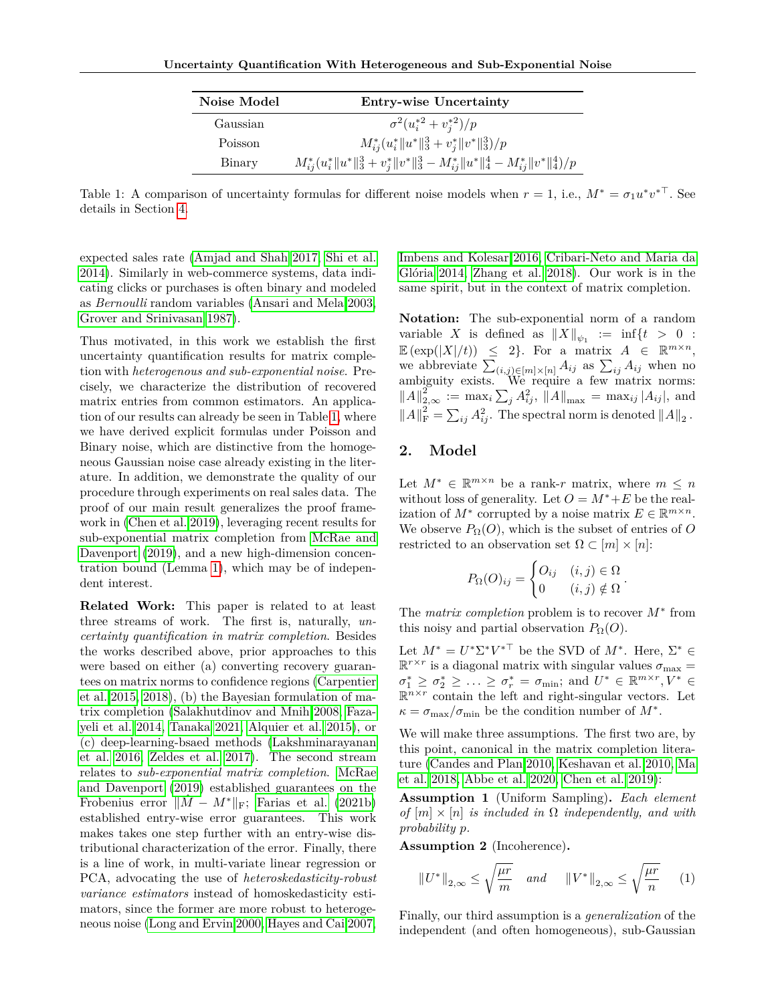| Noise Model | <b>Entry-wise Uncertainty</b>                                                           |
|-------------|-----------------------------------------------------------------------------------------|
| Gaussian    | $\sigma^2(u_i^{*2}+v_i^{*2})/p$                                                         |
| Poisson     | $M_{ij}^*(u_i^*\ u^*\ _3^3+v_j^*\ v^*\ _3^3)/p$                                         |
| Binary      | $M_{ij}^*(u_i^*\ u^*\ _3^3+v_i^*\ v^*\ _3^3-M_{ij}^*\ u^*\ _4^4-M_{ij}^*\ v^*\ _4^4)/p$ |

<span id="page-1-0"></span>Table 1: A comparison of uncertainty formulas for different noise models when  $r = 1$ , i.e.,  $M^* = \sigma_1 u^* v^{*T}$ . See details in Section [4.](#page-3-0)

expected sales rate [\(Amjad and Shah 2017,](#page-8-2) [Shi et al.](#page-9-14) [2014\)](#page-9-14). Similarly in web-commerce systems, data indicating clicks or purchases is often binary and modeled as *Bernoulli* random variables [\(Ansari and Mela 2003,](#page-8-4) [Grover and Srinivasan 1987\)](#page-9-15).

Thus motivated, in this work we establish the first uncertainty quantification results for matrix completion with *heterogenous and sub-exponential noise*. Precisely, we characterize the distribution of recovered matrix entries from common estimators. An application of our results can already be seen in Table [1,](#page-1-0) where we have derived explicit formulas under Poisson and Binary noise, which are distinctive from the homogeneous Gaussian noise case already existing in the literature. In addition, we demonstrate the quality of our procedure through experiments on real sales data. The proof of our main result generalizes the proof framework in [\(Chen et al. 2019\)](#page-9-12), leveraging recent results for sub-exponential matrix completion from [McRae and](#page-9-16) [Davenport](#page-9-16) [\(2019\)](#page-9-16), and a new high-dimension concentration bound (Lemma [1\)](#page-5-0), which may be of independent interest.

**Related Work:** This paper is related to at least three streams of work. The first is, naturally, *uncertainty quantification in matrix completion*. Besides the works described above, prior approaches to this were based on either (a) converting recovery guarantees on matrix norms to confidence regions [\(Carpentier](#page-8-5) [et al. 2015,](#page-8-5) [2018\)](#page-9-17), (b) the Bayesian formulation of matrix completion [\(Salakhutdinov and Mnih 2008,](#page-9-18) [Faza](#page-9-19)[yeli et al. 2014,](#page-9-19) [Tanaka 2021,](#page-9-20) [Alquier et al. 2015\)](#page-8-6), or (c) deep-learning-bsaed methods [\(Lakshminarayanan](#page-9-21) [et al. 2016,](#page-9-21) [Zeldes et al. 2017\)](#page-10-2). The second stream relates to *sub-exponential matrix completion*. [McRae](#page-9-16) [and Davenport](#page-9-16) [\(2019\)](#page-9-16) established guarantees on the Frobenius error  $||M - M^*||_F$ ; [Farias et al.](#page-9-22) [\(2021b\)](#page-9-22) established entry-wise error guarantees. This work makes takes one step further with an entry-wise distributional characterization of the error. Finally, there is a line of work, in multi-variate linear regression or PCA, advocating the use of *heteroskedasticity-robust variance estimators* instead of homoskedasticity estimators, since the former are more robust to heterogeneous noise [\(Long and Ervin 2000,](#page-9-23) [Hayes and Cai 2007,](#page-9-24) [Imbens and Kolesar 2016,](#page-9-25) [Cribari-Neto and Maria da](#page-9-26) [Glória 2014,](#page-9-26) [Zhang et al. 2018\)](#page-10-3). Our work is in the same spirit, but in the context of matrix completion.

**Notation:** The sub-exponential norm of a random variable *X* is defined as  $||X||_{\psi_1} := \inf\{t > 0 :$  $\mathbb{E}(\exp(|X|/t)) \leq 2$ . For a matrix  $A \in \mathbb{R}^{m \times n}$ , we abbreviate  $\sum_{(i,j)\in[m]\times[n]} A_{ij}$  as  $\sum_{ij} A_{ij}$  when no ambiguity exists. We require a few matrix norms:  $||A||_{2,\infty}^{2^{*}} := \max_{i} \sum_{j} A_{ij}^{2}, \ \overline{||A||}_{\max} = \max_{ij} |A_{ij}|,$  and  $||A||_F^2 = \sum_{ij} A_{ij}^2$ . The spectral norm is denoted  $||A||_2$ .

## **2. Model**

Let  $M^* \in \mathbb{R}^{m \times n}$  be a rank-*r* matrix, where  $m \leq n$ without loss of generality. Let  $O = M^* + E$  be the realization of  $M^*$  corrupted by a noise matrix  $E \in \mathbb{R}^{m \times n}$ . We observe  $P_{\Omega}(O)$ , which is the subset of entries of *O* restricted to an observation set  $\Omega \subset [m] \times [n]$ :

$$
P_{\Omega}(O)_{ij} = \begin{cases} O_{ij} & (i,j) \in \Omega \\ 0 & (i,j) \notin \Omega \end{cases}.
$$

The *matrix completion* problem is to recover *M*<sup>∗</sup> from this noisy and partial observation  $P_{\Omega}(O)$ .

Let  $M^* = U^* \Sigma^* V^{* \top}$  be the SVD of  $M^*$ . Here,  $\Sigma^* \in$  $\mathbb{R}^{r \times r}$  is a diagonal matrix with singular values  $\sigma_{\text{max}} =$  $\sigma_1^* \geq \sigma_2^* \geq \ldots \geq \sigma_r^* = \sigma_{\min}$ ; and  $U^* \in \mathbb{R}^{m \times r}, V^* \in$  $\mathbb{R}^{n \times r}$  contain the left and right-singular vectors. Let  $\kappa = \sigma_{\text{max}}/\sigma_{\text{min}}$  be the condition number of  $M^*$ .

We will make three assumptions. The first two are, by this point, canonical in the matrix completion literature [\(Candes and Plan 2010,](#page-8-1) [Keshavan et al. 2010,](#page-9-0) [Ma](#page-9-10) [et al. 2018,](#page-9-10) [Abbe et al. 2020,](#page-8-3) [Chen et al. 2019\)](#page-9-12):

**Assumption 1** (Uniform Sampling)**.** *Each element of*  $[m] \times [n]$  *is included in*  $\Omega$  *independently, and with probability p.*

**Assumption 2** (Incoherence)**.**

<span id="page-1-1"></span>
$$
||U^*||_{2,\infty} \le \sqrt{\frac{\mu r}{m}} \quad and \quad ||V^*||_{2,\infty} \le \sqrt{\frac{\mu r}{n}} \qquad (1)
$$

Finally, our third assumption is a *generalization* of the independent (and often homogeneous), sub-Gaussian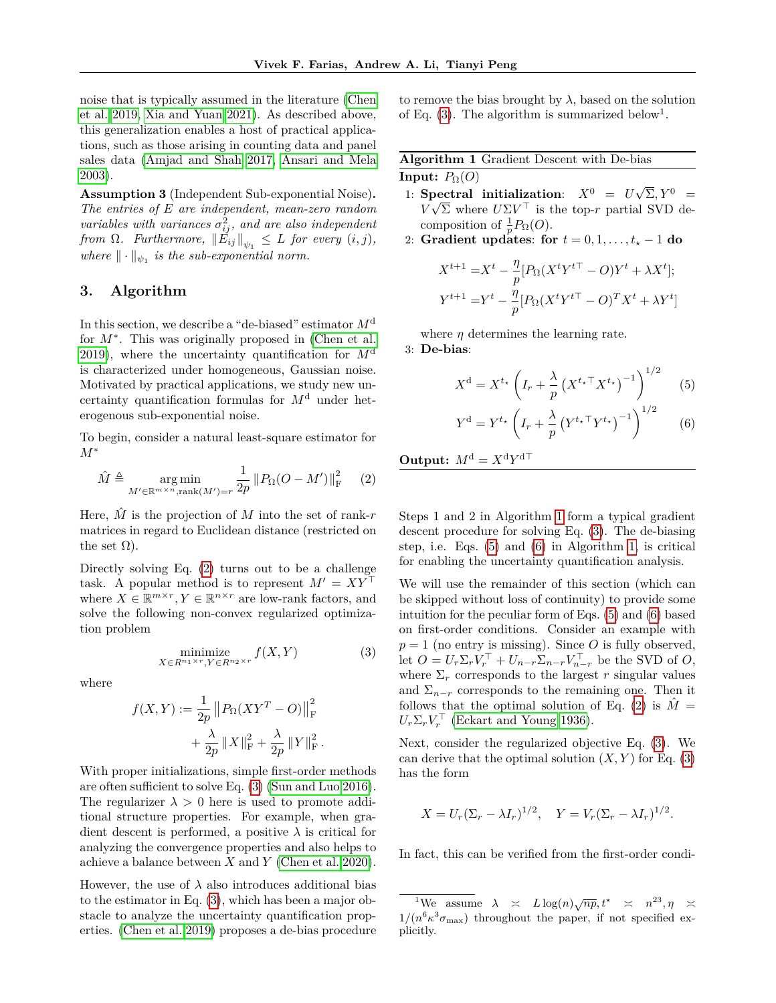noise that is typically assumed in the literature [\(Chen](#page-9-12) [et al. 2019,](#page-9-12) [Xia and Yuan 2021\)](#page-10-1). As described above, this generalization enables a host of practical applications, such as those arising in counting data and panel sales data [\(Amjad and Shah 2017,](#page-8-2) [Ansari and Mela](#page-8-4) [2003\)](#page-8-4).

**Assumption 3** (Independent Sub-exponential Noise)**.** *The entries of E are independent, mean-zero random variables with variances*  $\sigma_{ij}^2$ , and are also independent *from*  $\Omega$ *. Furthermore,*  $||E_{ij}||_{\psi_1} \leq L$  *for every*  $(i, j)$ *, where*  $\|\cdot\|_{\psi_1}$  *is the sub-exponential norm.* 

## **3. Algorithm**

In this section, we describe a "de-biased" estimator *M*<sup>d</sup> for  $M^*$ . This was originally proposed in [\(Chen et al.](#page-9-12) [2019\)](#page-9-12), where the uncertainty quantification for *M*<sup>d</sup> is characterized under homogeneous, Gaussian noise. Motivated by practical applications, we study new uncertainty quantification formulas for *M*<sup>d</sup> under heterogenous sub-exponential noise.

To begin, consider a natural least-square estimator for *M*<sup>∗</sup>

$$
\hat{M} \triangleq \underset{M' \in \mathbb{R}^{m \times n}, \text{rank}(M') = r}{\arg \min} \frac{1}{2p} \| P_{\Omega}(O - M') \|_{\mathcal{F}}^2 \qquad (2)
$$

Here,  $\hat{M}$  is the projection of  $M$  into the set of rank- $r$ matrices in regard to Euclidean distance (restricted on the set  $\Omega$ ).

Directly solving Eq. [\(2\)](#page-2-0) turns out to be a challenge task. A popular method is to represent  $M' = XY^{\top}$ where  $X \in \mathbb{R}^{m \times r}$ ,  $Y \in \mathbb{R}^{n \times r}$  are low-rank factors, and solve the following non-convex regularized optimization problem

$$
\underset{X \in R^{n_1 \times r}, Y \in R^{n_2 \times r}}{\text{minimize}} f(X, Y) \tag{3}
$$

where

$$
f(X,Y) := \frac{1}{2p} ||P_{\Omega}(XY^{T} - O)||_{\mathcal{F}}^{2} + \frac{\lambda}{2p} ||X||_{\mathcal{F}}^{2} + \frac{\lambda}{2p} ||Y||_{\mathcal{F}}^{2}.
$$

With proper initializations, simple first-order methods are often sufficient to solve Eq. [\(3\)](#page-2-1) [\(Sun and Luo 2016\)](#page-9-27). The regularizer  $\lambda > 0$  here is used to promote additional structure properties. For example, when gradient descent is performed, a positive  $\lambda$  is critical for analyzing the convergence properties and also helps to achieve a balance between *X* and *Y* [\(Chen et al. 2020\)](#page-9-13).

However, the use of  $\lambda$  also introduces additional bias to the estimator in Eq. [\(3\)](#page-2-1), which has been a major obstacle to analyze the uncertainty quantification properties. [\(Chen et al. 2019\)](#page-9-12) proposes a de-bias procedure to remove the bias brought by  $\lambda$ , based on the solution of Eq.  $(3)$ . The algorithm is summarized below<sup>1</sup>.

<span id="page-2-2"></span>

| Algorithm 1 Gradient Descent with De-bias |  |  |
|-------------------------------------------|--|--|
| <b>Input:</b> $P_{\Omega}(O)$             |  |  |

- 1: **Spectral initialization:**  $X^0 = U\sqrt{\Sigma}, Y^0 =$  $V\sqrt{\Sigma}$  where  $U\Sigma V^{\top}$  is the top-*r* partial SVD decomposition of  $\frac{1}{p}P_{\Omega}(O)$ .
- 2: **Gradient updates: for**  $t = 0, 1, \ldots, t_{\star} 1$  **do**

$$
X^{t+1} = X^t - \frac{\eta}{p} [P_{\Omega}(X^t Y^{t\top} - O) Y^t + \lambda X^t];
$$
  

$$
Y^{t+1} = Y^t - \frac{\eta}{p} [P_{\Omega}(X^t Y^{t\top} - O)^T X^t + \lambda Y^t]
$$

where  $\eta$  determines the learning rate. 3: **De-bias**:

<span id="page-2-3"></span>
$$
X^{\mathbf{d}} = X^{t_{\star}} \left( I_r + \frac{\lambda}{p} \left( X^{t_{\star} \top} X^{t_{\star}} \right)^{-1} \right)^{1/2} \tag{5}
$$

<span id="page-2-4"></span>
$$
Y^{\rm d} = Y^{t_{\star}} \left( I_r + \frac{\lambda}{p} \left( Y^{t_{\star} \top} Y^{t_{\star}} \right)^{-1} \right)^{1/2} \tag{6}
$$

<span id="page-2-0"></span>**Output:**  $M^d = X^d Y^{d\top}$ 

Steps 1 and 2 in Algorithm [1](#page-2-2) form a typical gradient descent procedure for solving Eq. [\(3\)](#page-2-1). The de-biasing step, i.e. Eqs. [\(5\)](#page-2-3) and [\(6\)](#page-2-4) in Algorithm [1,](#page-2-2) is critical for enabling the uncertainty quantification analysis.

<span id="page-2-1"></span>We will use the remainder of this section (which can be skipped without loss of continuity) to provide some intuition for the peculiar form of Eqs. [\(5\)](#page-2-3) and [\(6\)](#page-2-4) based on first-order conditions. Consider an example with  $p = 1$  (no entry is missing). Since *O* is fully observed, let  $O = U_r \Sigma_r V_r^{\top} + U_{n-r} \Sigma_{n-r} V_{n-r}^{\top}$  be the SVD of  $O$ , where  $\Sigma_r$  corresponds to the largest *r* singular values and  $\Sigma_{n-r}$  corresponds to the remaining one. Then it follows that the optimal solution of Eq. [\(2\)](#page-2-0) is  $\hat{M} =$  $U_r \Sigma_r V_r^{\top}$  [\(Eckart and Young 1936\)](#page-9-28).

Next, consider the regularized objective Eq. [\(3\)](#page-2-1). We can derive that the optimal solution  $(X, Y)$  for Eq. [\(3\)](#page-2-1) has the form

$$
X = U_r(\Sigma_r - \lambda I_r)^{1/2}, \quad Y = V_r(\Sigma_r - \lambda I_r)^{1/2}.
$$

In fact, this can be verified from the first-order condi-

 $\frac{1}{2}$ We assume  $\lambda \ge L \log(n) \sqrt{np}$ ,  $t^* \ge n^{23}$ ,  $\eta \ge n$  $1/(n^6 \kappa^3 \sigma_{\text{max}})$  throughout the paper, if not specified explicitly.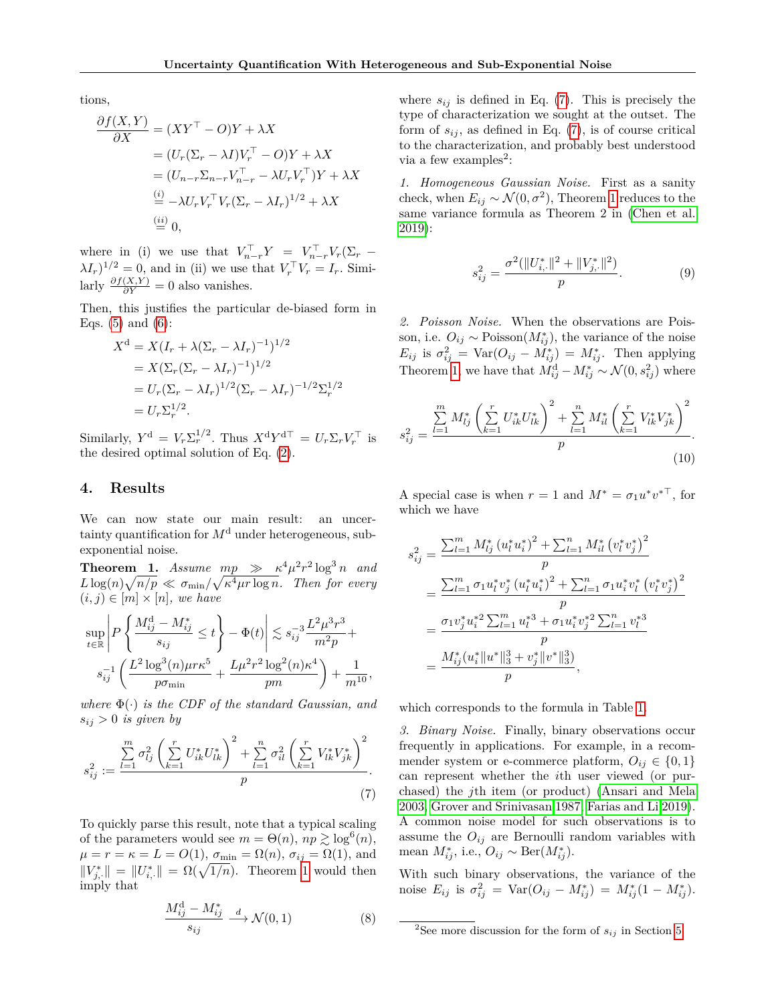tions,

$$
\frac{\partial f(X,Y)}{\partial X} = (XY^{\top} - O)Y + \lambda X
$$
  
=  $(U_r(\Sigma_r - \lambda I)V_r^{\top} - O)Y + \lambda X$   
=  $(U_{n-r}\Sigma_{n-r}V_{n-r}^{\top} - \lambda U_rV_r^{\top})Y + \lambda X$   
 $\stackrel{(i)}{=} -\lambda U_rV_r^{\top}V_r(\Sigma_r - \lambda I_r)^{1/2} + \lambda X$   
 $\stackrel{(ii)}{=} 0,$ 

where in (i) we use that  $V_{n-r}^{\top}Y = V_{n-r}^{\top}V_r(\Sigma_r \lambda I_r$ )<sup>1/2</sup> = 0, and in (ii) we use that  $V_r^{\top} V_r = I_r$ . Similarly  $\frac{\partial f(X,Y)}{\partial Y} = 0$  also vanishes.

Then, this justifies the particular de-biased form in Eqs.  $(5)$  and  $(6)$ :

$$
X^{d} = X(I_{r} + \lambda(\Sigma_{r} - \lambda I_{r})^{-1})^{1/2}
$$
  
=  $X(\Sigma_{r}(\Sigma_{r} - \lambda I_{r})^{-1})^{1/2}$   
=  $U_{r}(\Sigma_{r} - \lambda I_{r})^{1/2}(\Sigma_{r} - \lambda I_{r})^{-1/2}\Sigma_{r}^{1/2}$   
=  $U_{r}\Sigma_{r}^{1/2}$ .

Similarly,  $Y^d = V_r \Sigma_r^{1/2}$ . Thus  $X^d Y^{d\top} = U_r \Sigma_r V_r^{\top}$  is the desired optimal solution of Eq. [\(2\)](#page-2-0).

### <span id="page-3-0"></span>**4. Results**

We can now state our main result: an uncertainty quantification for  $M<sup>d</sup>$  under heterogeneous, subexponential noise.

<span id="page-3-1"></span>**Theorem 1.** *Assume*  $mp \gg \kappa^4 \mu^2 r^2 \log^3 n$  *and*  $L \log(n) \sqrt{n/p} \ll \sigma_{\min}/\sqrt{\kappa^4 \mu r \log n}$ . Then for every  $(i, j) \in [m] \times [n]$ , we have

$$
\sup_{t \in \mathbb{R}} \left| P \left\{ \frac{M_{ij}^{\mathrm{d}} - M_{ij}^*}{s_{ij}} \le t \right\} - \Phi(t) \right| \lesssim s_{ij}^{-3} \frac{L^2 \mu^3 r^3}{m^2 p} + \ns_{ij}^{-1} \left( \frac{L^2 \log^3(n) \mu r \kappa^5}{p \sigma_{\min}} + \frac{L \mu^2 r^2 \log^2(n) \kappa^4}{pm} \right) + \frac{1}{m^{10}},
$$

*where* Φ(·) *is the CDF of the standard Gaussian, and*  $s_{ij}$  > 0 *is given by* 

$$
s_{ij}^2 := \frac{\sum_{l=1}^m \sigma_{lj}^2 \left(\sum_{k=1}^r U_{ik}^* U_{lk}^*\right)^2 + \sum_{l=1}^n \sigma_{il}^2 \left(\sum_{k=1}^r V_{lk}^* V_{jk}^*\right)^2}{p}.
$$
\n(7)

To quickly parse this result, note that a typical scaling of the parameters would see  $m = \Theta(n)$ ,  $np \ge \log^6(n)$ , *μ* = *r* = *κ* = *L* = *O*(1),  $σ_{\min}$  =  $Ω(n)$ ,  $σ_{ij}$  =  $Ω(1)$ , and  $||V_{j,\cdot}^*|| = ||U_{i,\cdot}^*|| = \Omega(\sqrt{1/n})$ . Theorem [1](#page-3-1) would then imply that

$$
\frac{M_{ij}^{\mathrm{d}} - M_{ij}^{*}}{s_{ij}} \xrightarrow{d} \mathcal{N}(0, 1) \tag{8}
$$

where  $s_{ij}$  is defined in Eq. [\(7\)](#page-3-2). This is precisely the type of characterization we sought at the outset. The form of  $s_{ij}$ , as defined in Eq.  $(7)$ , is of course critical to the characterization, and probably best understood via a few examples<sup>2</sup>:

*1. Homogeneous Gaussian Noise.* First as a sanity check, when  $E_{ij} \sim \mathcal{N}(0, \sigma^2)$ , Theorem [1](#page-3-1) reduces to the same variance formula as Theorem 2 in [\(Chen et al.](#page-9-12) [2019\)](#page-9-12):

<span id="page-3-3"></span>
$$
s_{ij}^2 = \frac{\sigma^2(\|U_{i,\cdot}^*\|^2 + \|V_{j,\cdot}^*\|^2)}{p}.\tag{9}
$$

*2. Poisson Noise.* When the observations are Poisson, i.e.  $O_{ij} \sim \text{Poisson}(M^*_{ij})$ , the variance of the noise  $E_{ij}$  is  $\sigma_{ij}^2 = \text{Var}(O_{ij} - M_{ij}^*) = M_{ij}^*$ . Then applying Theorem [1,](#page-3-1) we have that  $M_{ij}^d - M_{ij}^* \sim \mathcal{N}(0, s_{ij}^2)$  where

$$
s_{ij}^2 = \frac{\sum\limits_{l=1}^m M_{lj}^* \left(\sum\limits_{k=1}^r U_{ik}^* U_{lk}^*\right)^2 + \sum\limits_{l=1}^n M_{il}^* \left(\sum\limits_{k=1}^r V_{lk}^* V_{jk}^*\right)^2}{p}.
$$
\n(10)

A special case is when  $r = 1$  and  $M^* = \sigma_1 u^* v^{*T}$ , for which we have

$$
s_{ij}^2 = \frac{\sum_{l=1}^m M_{lj}^* (u_l^* u_i^*)^2 + \sum_{l=1}^n M_{il}^* (v_l^* v_j^*)^2}{p}
$$
  
= 
$$
\frac{\sum_{l=1}^m \sigma_1 u_l^* v_j^* (u_l^* u_i^*)^2 + \sum_{l=1}^n \sigma_1 u_i^* v_l^* (v_l^* v_j^*)^2}{p}
$$
  
= 
$$
\frac{\sigma_1 v_j^* u_i^*^2 \sum_{l=1}^m u_l^{*3} + \sigma_1 u_i^* v_j^*^2 \sum_{l=1}^n v_l^{*3}}{p}
$$
  
= 
$$
\frac{M_{ij}^* (u_i^* || u^* ||_3^3 + v_j^* || v^* ||_3^3)}{p},
$$

which corresponds to the formula in Table [1.](#page-1-0)

<span id="page-3-2"></span>*3. Binary Noise.* Finally, binary observations occur frequently in applications. For example, in a recommender system or e-commerce platform,  $O_{ij} \in \{0,1\}$ can represent whether the *i*th user viewed (or purchased) the *j*th item (or product) [\(Ansari and Mela](#page-8-4) [2003,](#page-8-4) [Grover and Srinivasan 1987,](#page-9-15) [Farias and Li 2019\)](#page-9-29). A common noise model for such observations is to assume the  $O_{ij}$  are Bernoulli random variables with mean  $M^*_{ij}$ , i.e.,  $O_{ij} \sim \text{Ber}(M^*_{ij})$ .

With such binary observations, the variance of the noise  $E_{ij}$  is  $\sigma_{ij}^2 = \text{Var}(O_{ij} - M_{ij}^*) = M_{ij}^*(1 - M_{ij}^*)$ .

<sup>&</sup>lt;sup>2</sup>See more discussion for the form of  $s_{ij}$  in Section [5.](#page-4-0)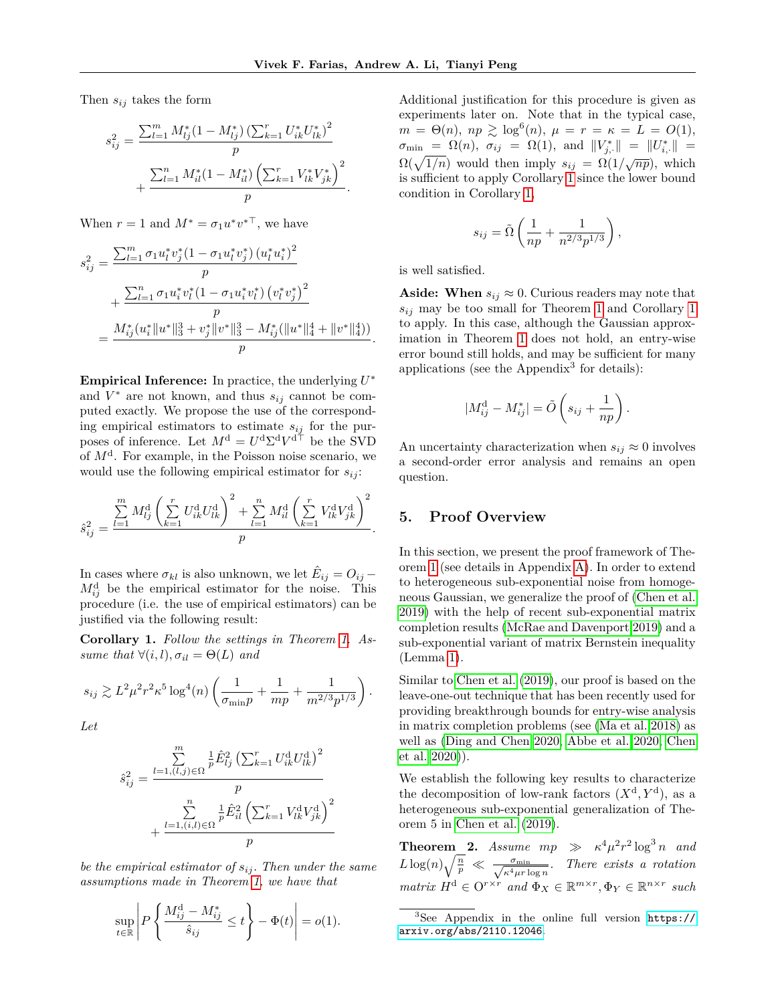Then *sij* takes the form

$$
s_{ij}^2 = \frac{\sum_{l=1}^m M_{lj}^*(1 - M_{lj}^*) \left(\sum_{k=1}^r U_{ik}^* U_{lk}^*\right)^2}{p} + \frac{\sum_{l=1}^n M_{il}^*(1 - M_{il}^*) \left(\sum_{k=1}^r V_{lk}^* V_{jk}^*\right)^2}{p}.
$$

When  $r = 1$  and  $M^* = \sigma_1 u^* v^{*T}$ , we have

$$
s_{ij}^2 = \frac{\sum_{l=1}^m \sigma_1 u_l^* v_j^* (1 - \sigma_1 u_l^* v_j^*) (u_l^* u_i^*)^2}{p}
$$
  
+ 
$$
\frac{\sum_{l=1}^n \sigma_1 u_i^* v_l^* (1 - \sigma_1 u_i^* v_l^*) (v_l^* v_j^*)^2}{p}
$$
  
= 
$$
\frac{M_{ij}^* (u_i^* \|u^*\|_3^3 + v_j^* \|v^*\|_3^3 - M_{ij}^* (\|u^*\|_4^4 + \|v^*\|_4^4))}{p}.
$$

**Empirical Inference:** In practice, the underlying *U* ∗ and  $V^*$  are not known, and thus  $s_{ij}$  cannot be computed exactly. We propose the use of the corresponding empirical estimators to estimate *sij* for the purposes of inference. Let  $M^d = U^d \Sigma^d V^{d\top}$  be the SVD of *M*<sup>d</sup> . For example, in the Poisson noise scenario, we would use the following empirical estimator for  $s_{ij}$ :

$$
\hat{s}_{ij}^2 = \frac{\sum_{l=1}^{m} M_{lj}^{\rm d} \left( \sum_{k=1}^{r} U_{ik}^{\rm d} U_{lk}^{\rm d} \right)^2 + \sum_{l=1}^{n} M_{il}^{\rm d} \left( \sum_{k=1}^{r} V_{lk}^{\rm d} V_{jk}^{\rm d} \right)^2}{p}
$$

In cases where  $\sigma_{kl}$  is also unknown, we let  $\hat{E}_{ij} = O_{ij} M_{ij}^{\rm d}$  be the empirical estimator for the noise. This procedure (i.e. the use of empirical estimators) can be justified via the following result:

<span id="page-4-1"></span>**Corollary 1.** *Follow the settings in Theorem [1.](#page-3-1) Assume that*  $\forall (i, l), \sigma_{il} = \Theta(L)$  *and* 

$$
s_{ij} \gtrsim L^2 \mu^2 r^2 \kappa^5 \log^4(n) \left( \frac{1}{\sigma_{\min} p} + \frac{1}{mp} + \frac{1}{m^{2/3} p^{1/3}} \right).
$$

*Let*

$$
\hat{s}_{ij}^2 = \frac{\sum_{l=1, (l,j)\in\Omega}^m \frac{1}{p} \hat{E}_{lj}^2 (\sum_{k=1}^r U_{ik}^{\mathrm{d}} U_{lk}^{\mathrm{d}})^2}{p} + \frac{\sum_{l=1, (i,l)\in\Omega}^n \frac{1}{p} \hat{E}_{il}^2 (\sum_{k=1}^r V_{lk}^{\mathrm{d}} V_{jk}^{\mathrm{d}})}{p}
$$

*be the empirical estimator of sij . Then under the same assumptions made in Theorem [1,](#page-3-1) we have that*

$$
\sup_{t \in \mathbb{R}} \left| P\left\{ \frac{M_{ij}^{\mathrm{d}} - M_{ij}^*}{\hat{s}_{ij}} \le t \right\} - \Phi(t) \right| = o(1).
$$

Additional justification for this procedure is given as experiments later on. Note that in the typical case,  $m = \Theta(n), np \geq log^{6}(n), \mu = r = \kappa = L = O(1),$  $\sigma_{\min} = \Omega(n), \ \sigma_{ij} = \Omega(1), \text{ and } ||V^*_{j, \cdot}|| = ||U^*_{i, \cdot}|| =$  $\Omega(\sqrt{1/n})$  would then imply  $s_{ij} = \Omega(1/\sqrt{np})$ , which is sufficient to apply Corollary [1](#page-4-1) since the lower bound condition in Corollary [1,](#page-4-1)

$$
s_{ij} = \tilde{\Omega}\left(\frac{1}{np} + \frac{1}{n^{2/3}p^{1/3}}\right),\,
$$

is well satisfied.

**Aside:** When  $s_{ij} \approx 0$ . Curious readers may note that *sij* may be too small for Theorem [1](#page-3-1) and Corollary [1](#page-4-1) to apply. In this case, although the Gaussian approximation in Theorem [1](#page-3-1) does not hold, an entry-wise error bound still holds, and may be sufficient for many applications (see the Appendix<sup>3</sup> for details):

$$
|M_{ij}^{\rm d} - M_{ij}^*| = \tilde{O}\left(s_{ij} + \frac{1}{np}\right)
$$

*.*

An uncertainty characterization when  $s_{ij} \approx 0$  involves a second-order error analysis and remains an open question.

#### <span id="page-4-0"></span>**5. Proof Overview**

*.*

In this section, we present the proof framework of Theorem [1](#page-3-1) (see details in Appendix [A\)](#page--1-0). In order to extend to heterogeneous sub-exponential noise from homogeneous Gaussian, we generalize the proof of [\(Chen et al.](#page-9-12) [2019\)](#page-9-12) with the help of recent sub-exponential matrix completion results [\(McRae and Davenport 2019\)](#page-9-16) and a sub-exponential variant of matrix Bernstein inequality (Lemma [1\)](#page-5-0).

Similar to [Chen et al.](#page-9-12) [\(2019\)](#page-9-12), our proof is based on the leave-one-out technique that has been recently used for providing breakthrough bounds for entry-wise analysis in matrix completion problems (see [\(Ma et al. 2018\)](#page-9-10) as well as [\(Ding and Chen 2020,](#page-9-11) [Abbe et al. 2020,](#page-8-3) [Chen](#page-9-13) [et al. 2020\)](#page-9-13)).

We establish the following key results to characterize the decomposition of low-rank factors  $(X^d, Y^d)$ , as a heterogeneous sub-exponential generalization of Theorem 5 in [Chen et al.](#page-9-12) [\(2019\)](#page-9-12).

<span id="page-4-2"></span>**Theorem 2.** *Assume*  $mp \gg \kappa^4 \mu^2 r^2 \log^3 n$  *and*  $L \log(n) \sqrt{\frac{n}{p}} \ll \frac{\sigma_{\min}}{\sqrt{\kappa^4 \mu r \log n}}$ . There exists a rotation *matrix*  $H^d \in \mathbb{O}^{r \times r}$  *and*  $\Phi_X \in \mathbb{R}^{m \times r}, \Phi_Y \in \mathbb{R}^{n \times r}$  *such* 

<sup>3</sup>See Appendix in the online full version [https://](https://arxiv.org/abs/2110.12046) [arxiv.org/abs/2110.12046](https://arxiv.org/abs/2110.12046).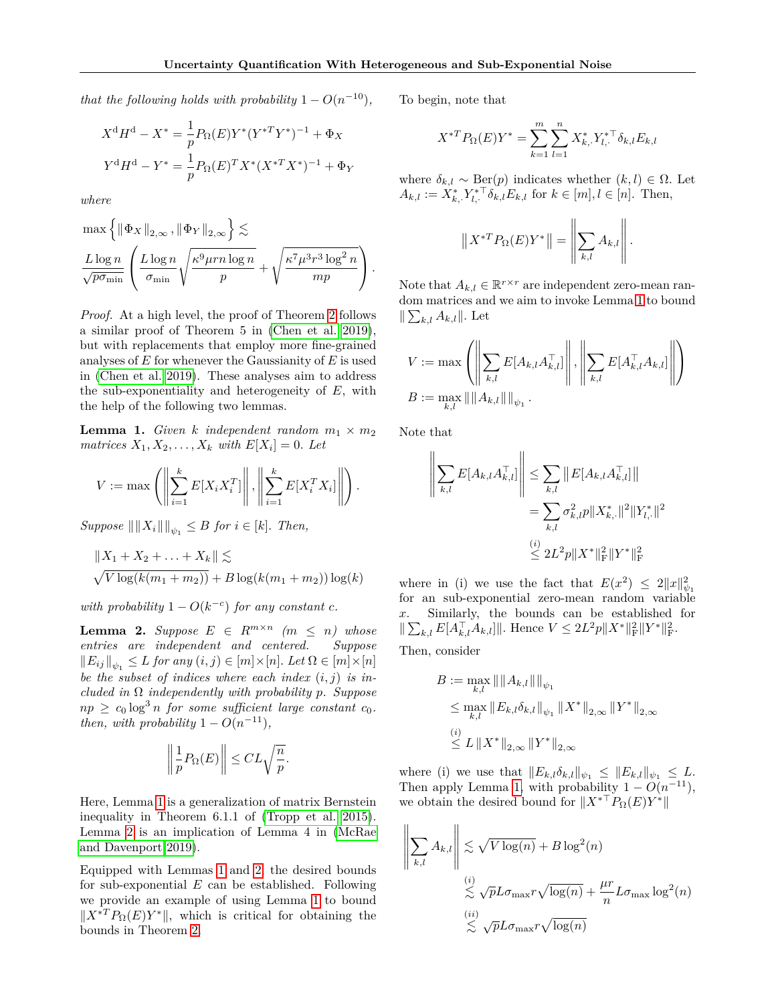*that the following holds with probability*  $1 - O(n^{-10})$ *,* 

$$
X^d H^d - X^* = \frac{1}{p} P_{\Omega}(E) Y^* (Y^{*T} Y^*)^{-1} + \Phi_X
$$
  

$$
Y^d H^d - Y^* = \frac{1}{p} P_{\Omega}(E) Y^* X^* (X^{*T} X^*)^{-1} + \Phi_Y
$$

*where*

$$
\max \left\{ \left\| \Phi_X \right\|_{2,\infty}, \left\| \Phi_Y \right\|_{2,\infty} \right\} \lesssim
$$
  

$$
\frac{L \log n}{\sqrt{p \sigma_{\min}}} \left( \frac{L \log n}{\sigma_{\min}} \sqrt{\frac{\kappa^9 \mu r n \log n}{p}} + \sqrt{\frac{\kappa^7 \mu^3 r^3 \log^2 n}{m p}} \right).
$$

*Proof.* At a high level, the proof of Theorem [2](#page-4-2) follows a similar proof of Theorem 5 in [\(Chen et al. 2019\)](#page-9-12), but with replacements that employ more fine-grained analyses of *E* for whenever the Gaussianity of *E* is used in [\(Chen et al. 2019\)](#page-9-12). These analyses aim to address the sub-exponentiality and heterogeneity of *E*, with the help of the following two lemmas.

<span id="page-5-0"></span>**Lemma 1.** *Given k independent random*  $m_1 \times m_2$ *matrices*  $X_1, X_2, \ldots, X_k$  *with*  $E[X_i] = 0$ *. Let* 

$$
V := \max \left( \left\| \sum_{i=1}^k E[X_i X_i^T] \right\|, \left\| \sum_{i=1}^k E[X_i^T X_i] \right\| \right).
$$

 $Suppose \|\|X_i\|\|_{\psi_1} \leq B$  *for*  $i \in [k]$ *. Then,* 

$$
||X_1 + X_2 + \ldots + X_k|| \lesssim
$$
  
  $\sqrt{V \log(k(m_1 + m_2))} + B \log(k(m_1 + m_2)) \log(k)$ 

*with probability*  $1 - O(k^{-c})$  *for any constant c.* 

<span id="page-5-1"></span>**Lemma 2.** *Suppose*  $E \in R^{m \times n}$  *(m*  $\leq n$ *) whose entries are independent and centered. Suppose*  $||E_{ij}||_{\psi_1} \leq L$  for any  $(i, j) \in [m] \times [n]$ . Let  $\Omega \in [m] \times [n]$ *be the subset of indices where each index* (*i, j*) *is included in* Ω *independently with probability p. Suppose*  $np \geq c_0 \log^3 n$  *for some sufficient large constant*  $c_0$ *. then, with probability*  $1 - O(n^{-11})$ *,* 

$$
\left\|\frac{1}{p}P_{\Omega}(E)\right\| \leq CL\sqrt{\frac{n}{p}}.
$$

Here, Lemma [1](#page-5-0) is a generalization of matrix Bernstein inequality in Theorem 6.1.1 of [\(Tropp et al. 2015\)](#page-10-4). Lemma [2](#page-5-1) is an implication of Lemma 4 in [\(McRae](#page-9-16) [and Davenport 2019\)](#page-9-16).

Equipped with Lemmas [1](#page-5-0) and [2,](#page-5-1) the desired bounds for sub-exponential *E* can be established. Following we provide an example of using Lemma [1](#page-5-0) to bound  $||X^*T P_{\Omega}(E)Y^*||$ , which is critical for obtaining the bounds in Theorem [2.](#page-4-2)

To begin, note that

$$
X^{*T}P_{\Omega}(E)Y^{*} = \sum_{k=1}^{m} \sum_{l=1}^{n} X_{k, \cdot}^{*} Y_{l, \cdot}^{*T} \delta_{k, l} E_{k, l}
$$

where  $\delta_{k,l} \sim \text{Ber}(p)$  indicates whether  $(k, l) \in \Omega$ . Let  $A_{k,l} := X_{k,\cdot}^* Y_{l,\cdot}^{* \top} \delta_{k,l} E_{k,l}$  for  $k \in [m], l \in [n]$ . Then,

$$
\left\|X^{*T}P_{\Omega}(E)Y^*\right\| = \left\|\sum_{k,l} A_{k,l}\right\|.
$$

Note that  $A_{k,l} \in \mathbb{R}^{r \times r}$  are independent zero-mean random matrices and we aim to invoke Lemma [1](#page-5-0) to bound  $\|\sum_{k,l} A_{k,l}\|$ . Let

$$
V := \max \left( \left\| \sum_{k,l} E[A_{k,l} A_{k,l}^\top] \right\|, \left\| \sum_{k,l} E[A_{k,l}^\top A_{k,l}] \right\| \right)
$$
  

$$
B := \max_{k,l} \| \|A_{k,l}\| \|_{\psi_1}.
$$

Note that

$$
\left\| \sum_{k,l} E[A_{k,l} A_{k,l}^\top] \right\| \leq \sum_{k,l} \| E[A_{k,l} A_{k,l}^\top] \|
$$
  
= 
$$
\sum_{k,l} \sigma_{k,l}^2 p \|X_{k,\cdot}^* \|^2 \|Y_{l,\cdot}^* \|^2
$$
  

$$
\stackrel{(i)}{\leq} 2L^2 p \|X^* \|_{\mathrm{F}}^2 \|Y^* \|_{\mathrm{F}}^2
$$

where in (i) we use the fact that  $E(x^2) \leq 2||x||_{\psi_1}^2$ for an sub-exponential zero-mean random variable *x*. Similarly, the bounds can be established for  $\|\sum_{k,l} E[A_{k,l}^{\top} A_{k,l}]\|$ . Hence  $V \leq 2L^2p\|X^*\|_{\text{F}}^2 \|Y^*\|_{\text{F}}^2$ .

Then, consider

$$
B := \max_{k,l} \|\|A_{k,l}\|\|_{\psi_1}
$$
  
\n
$$
\leq \max_{k,l} \|E_{k,l}\delta_{k,l}\|_{\psi_1} \|X^*\|_{2,\infty} \|Y^*\|_{2,\infty}
$$
  
\n(i) 
$$
\leq L \|X^*\|_{2,\infty} \|Y^*\|_{2,\infty}
$$

where (i) we use that  $||E_{k,l}\delta_{k,l}||_{\psi_1} \leq ||E_{k,l}||_{\psi_1} \leq L$ . Then apply Lemma [1,](#page-5-0) with probability  $1 - O(n^{-11})$ , we obtain the desired bound for  $||X^{*T}P_{\Omega}(E)Y^*||$ 

$$
\left\| \sum_{k,l} A_{k,l} \right\| \lesssim \sqrt{V \log(n)} + B \log^2(n)
$$
  

$$
\lesssim \sqrt{p} L \sigma_{\max} r \sqrt{\log(n)} + \frac{\mu r}{n} L \sigma_{\max} \log^2(n)
$$
  

$$
\lesssim \sqrt{p} L \sigma_{\max} r \sqrt{\log(n)}
$$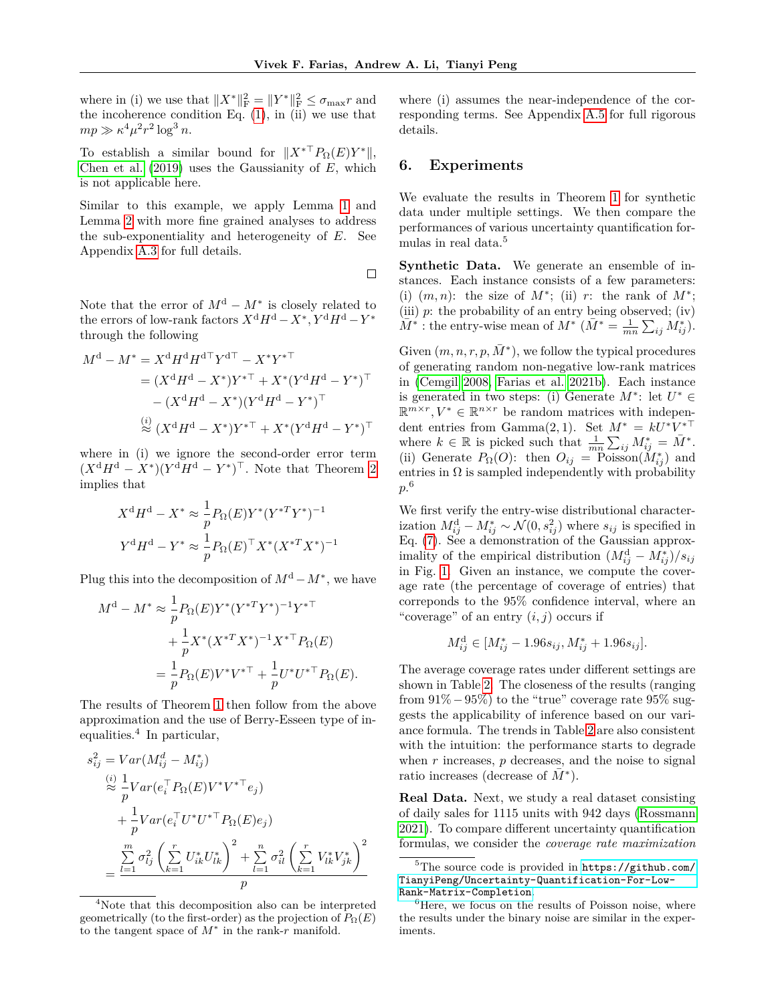where in (i) we use that  $||X^*||_F^2 = ||Y^*||_F^2 \le \sigma_{\max} r$  and the incoherence condition Eq.  $(1)$ , in  $(ii)$  we use that  $mp \gg \kappa^4 \mu^2 r^2 \log^3 n$ .

To establish a similar bound for  $||X^{*T}P_{\Omega}(E)Y^{*}||$ , [Chen et al.](#page-9-12) [\(2019\)](#page-9-12) uses the Gaussianity of *E*, which is not applicable here.

Similar to this example, we apply Lemma [1](#page-5-0) and Lemma [2](#page-5-1) with more fine grained analyses to address the sub-exponentiality and heterogeneity of *E*. See Appendix [A.3](#page--1-1) for full details.

 $\Box$ 

Note that the error of  $M^d - M^*$  is closely related to the errors of low-rank factors  $X^d H^d - X^*$ ,  $Y^d H^d - Y^*$ through the following

$$
M^{d} - M^{*} = X^{d} H^{d} H^{d} Y^{d} = X^{*} Y^{*T}
$$
  
=  $(X^{d} H^{d} - X^{*}) Y^{*T} + X^{*} (Y^{d} H^{d} - Y^{*})^{T}$   
 $- (X^{d} H^{d} - X^{*}) (Y^{d} H^{d} - Y^{*})^{T}$   
 $\stackrel{(i)}{\approx} (X^{d} H^{d} - X^{*}) Y^{*T} + X^{*} (Y^{d} H^{d} - Y^{*})^{T}$ 

where in (i) we ignore the second-order error term  $(X^d H^d - X^*)(Y^d H^d - Y^*)^{\top}$ . Note that Theorem [2](#page-4-2) implies that

$$
X^d H^d - X^* \approx \frac{1}{p} P_{\Omega}(E) Y^* (Y^{*T} Y^*)^{-1}
$$
  

$$
Y^d H^d - Y^* \approx \frac{1}{p} P_{\Omega}(E)^\top X^* (X^{*T} X^*)^{-1}
$$

Plug this into the decomposition of  $M<sup>d</sup> - M<sup>*</sup>$ , we have

$$
M^{d} - M^{*} \approx \frac{1}{p} P_{\Omega}(E) Y^{*} (Y^{*T} Y^{*})^{-1} Y^{*T}
$$
  
+ 
$$
\frac{1}{p} X^{*} (X^{*T} X^{*})^{-1} X^{*T} P_{\Omega}(E)
$$
  
= 
$$
\frac{1}{p} P_{\Omega}(E) V^{*} V^{*T} + \frac{1}{p} U^{*} U^{*T} P_{\Omega}(E).
$$

The results of Theorem [1](#page-3-1) then follow from the above approximation and the use of Berry-Esseen type of inequalities.<sup>4</sup> In particular,

$$
s_{ij}^2 = Var(M_{ij}^d - M_{ij}^*)
$$
  
\n
$$
\approx \frac{1}{p}Var(e_i^{\top} P_{\Omega}(E)V^*V^{*\top} e_j)
$$
  
\n
$$
+ \frac{1}{p}Var(e_i^{\top}U^*U^{*\top} P_{\Omega}(E)e_j)
$$
  
\n
$$
= \frac{\sum_{l=1}^m \sigma_{lj}^2 \left(\sum_{k=1}^r U_{ik}^* U_{lk}^*\right)^2 + \sum_{l=1}^n \sigma_{il}^2 \left(\sum_{k=1}^r V_{lk}^* V_{jk}^*\right)^2}{p}
$$

<sup>4</sup>Note that this decomposition also can be interpreted geometrically (to the first-order) as the projection of  $\hat{P}_{\Omega}(E)$ to the tangent space of *M*<sup>∗</sup> in the rank-*r* manifold.

where (i) assumes the near-independence of the corresponding terms. See Appendix [A.5](#page--1-2) for full rigorous details.

#### **6. Experiments**

We evaluate the results in Theorem [1](#page-3-1) for synthetic data under multiple settings. We then compare the performances of various uncertainty quantification formulas in real data.<sup>5</sup>

**Synthetic Data.** We generate an ensemble of instances. Each instance consists of a few parameters: (i)  $(m, n)$ : the size of  $M^*$ ; (ii) *r*: the rank of  $M^*$ ; (iii) *p*: the probability of an entry being observed; (iv)  $\overline{M}^*$ : the entry-wise mean of  $M^*$   $(\overline{M}^* = \frac{1}{mn} \sum_{ij} M^*_{ij}).$ 

Given  $(m, n, r, p, \overline{M}^*)$ , we follow the typical procedures of generating random non-negative low-rank matrices in [\(Cemgil 2008,](#page-9-30) [Farias et al. 2021b\)](#page-9-22). Each instance is generated in two steps: (i) Generate  $M^*$ : let  $U^* \in$  $\mathbb{R}^{m \times r}$ ,  $V^* \in \mathbb{R}^{n \times r}$  be random matrices with independent entries from Gamma $(2, 1)$ . Set  $M^* = kU^*V^{*\top}$ where  $k \in \mathbb{R}$  is picked such that  $\frac{1}{mn} \sum_{ij} M_{ij}^* = \overline{M}^*$ . (ii) Generate  $P_{\Omega}(O)$ : then  $O_{ij} = \text{Poisson}(\tilde{M}_{ij}^*)$  and entries in  $\Omega$  is sampled independently with probability *p*. 6

We first verify the entry-wise distributional characterization  $M_{ij}^d - M_{ij}^* \sim \mathcal{N}(0, s_{ij}^2)$  where  $s_{ij}$  is specified in Eq. [\(7\)](#page-3-2). See a demonstration of the Gaussian approximality of the empirical distribution  $(M_{ij}^d - M_{ij}^*)/s_{ij}$ in Fig. [1.](#page-7-0) Given an instance, we compute the coverage rate (the percentage of coverage of entries) that correponds to the 95% confidence interval, where an "coverage" of an entry  $(i, j)$  occurs if

$$
M_{ij}^{\rm d} \in [M_{ij}^* - 1.96s_{ij}, M_{ij}^* + 1.96s_{ij}].
$$

The average coverage rates under different settings are shown in Table [2.](#page-7-1) The closeness of the results (ranging from 91%−95%) to the "true" coverage rate 95% suggests the applicability of inference based on our variance formula. The trends in Table [2](#page-7-1) are also consistent with the intuition: the performance starts to degrade when *r* increases, *p* decreases, and the noise to signal ratio increases (decrease of  $\overline{M}^*$ ).

**Real Data.** Next, we study a real dataset consisting of daily sales for 1115 units with 942 days [\(Rossmann](#page-9-31) [2021\)](#page-9-31). To compare different uncertainty quantification formulas, we consider the *coverage rate maximization*

<sup>&</sup>lt;sup>5</sup>The source code is provided in [https://github.com/](https://github.com/TianyiPeng/Uncertainty-Quantification-For-Low-Rank-Matrix-Completion) [TianyiPeng/Uncertainty-Quantification-For-Low-](https://github.com/TianyiPeng/Uncertainty-Quantification-For-Low-Rank-Matrix-Completion)[Rank-Matrix-Completion](https://github.com/TianyiPeng/Uncertainty-Quantification-For-Low-Rank-Matrix-Completion).

 ${}^{6}$ Here, we focus on the results of Poisson noise, where the results under the binary noise are similar in the experiments.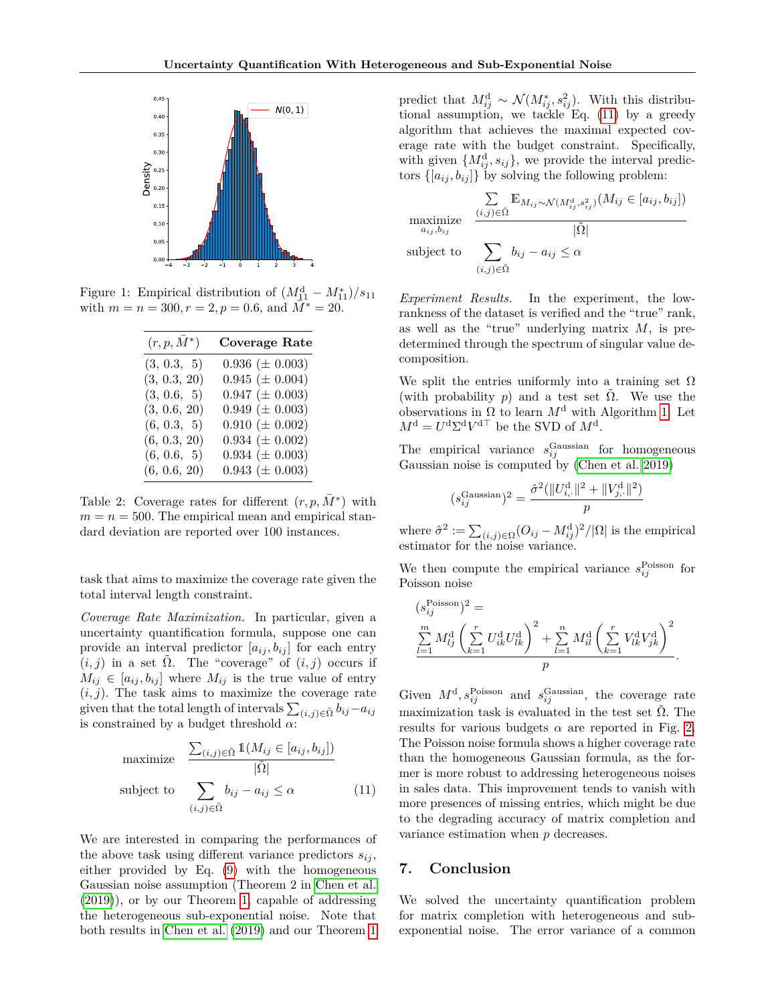<span id="page-7-0"></span>

<span id="page-7-1"></span>Figure 1: Empirical distribution of  $\left(M_{11}^d - M_{11}^*\right)/s_{11}$ with  $m = n = 300, r = 2, p = 0.6$ , and  $\overline{M}^* = 20$ .

| $(r, p, M^*)$ | <b>Coverage Rate</b>  |
|---------------|-----------------------|
| (3, 0.3, 5)   | 0.936 ( $\pm$ 0.003)  |
| (3, 0.3, 20)  | $0.945 \ (\pm 0.004)$ |
| (3, 0.6, 5)   | $0.947 (\pm 0.003)$   |
| (3, 0.6, 20)  | $0.949 \ (\pm 0.003)$ |
| (6, 0.3, 5)   | $0.910 \ (\pm 0.002)$ |
| (6, 0.3, 20)  | $0.934 \ (\pm 0.002)$ |
| (6, 0.6, 5)   | $0.934 \ (\pm 0.003)$ |
| (6, 0.6, 20)  | $0.943 \ (\pm 0.003)$ |

Table 2: Coverage rates for different  $(r, p, \overline{M}^*)$  with  $m = n = 500$ . The empirical mean and empirical standard deviation are reported over 100 instances.

task that aims to maximize the coverage rate given the total interval length constraint.

*Coverage Rate Maximization.* In particular, given a uncertainty quantification formula, suppose one can provide an interval predictor  $[a_{ij}, b_{ij}]$  for each entry  $(i, j)$  in a set  $\tilde{\Omega}$ . The "coverage" of  $(i, j)$  occurs if  $M_{ij} \in [a_{ij}, b_{ij}]$  where  $M_{ij}$  is the true value of entry  $(i, j)$ . The task aims to maximize the coverage rate given that the total length of intervals  $\sum_{(i,j)\in\tilde{\Omega}} b_{ij} - a_{ij}$ is constrained by a budget threshold *α*:

maximize 
$$
\frac{\sum_{(i,j)\in\tilde{\Omega}} \mathbb{1}(M_{ij} \in [a_{ij}, b_{ij}])}{|\tilde{\Omega}|}
$$
  
subject to 
$$
\sum_{(i,j)\in\tilde{\Omega}} b_{ij} - a_{ij} \leq \alpha
$$
 (11)

We are interested in comparing the performances of the above task using different variance predictors  $s_{ij}$ , either provided by Eq. [\(9\)](#page-3-3) with the homogeneous Gaussian noise assumption (Theorem 2 in [Chen et al.](#page-9-12) [\(2019\)](#page-9-12)), or by our Theorem [1,](#page-3-1) capable of addressing the heterogeneous sub-exponential noise. Note that both results in [Chen et al.](#page-9-12) [\(2019\)](#page-9-12) and our Theorem [1](#page-3-1)

predict that  $M_{ij}^d \sim \mathcal{N}(M_{ij}^*, s_{ij}^2)$ . With this distributional assumption, we tackle Eq. [\(11\)](#page-7-2) by a greedy algorithm that achieves the maximal expected coverage rate with the budget constraint. Specifically, with given  ${M_{ij}^d, s_{ij}}$ , we provide the interval predictors  $\{[a_{ij}, b_{ij}]\}$  by solving the following problem:

$$
\begin{array}{ll}\n& \sum_{(i,j)\in\tilde{\Omega}} \mathbb{E}_{M_{ij}\sim\mathcal{N}(M_{ij}^{\mathrm{d}},s_{ij}^{2})}(M_{ij}\in[a_{ij},b_{ij}])\\
& \underset{(i,j)\in\tilde{\Omega}}{\operatorname{maximize}} & \frac{(\tilde{\Omega})}{|\tilde{\Omega}|}\\
& \text{subject to} & \sum_{(i,j)\in\tilde{\Omega}} b_{ij}-a_{ij}\leq \alpha\n\end{array}
$$

*Experiment Results.* In the experiment, the lowrankness of the dataset is verified and the "true" rank, as well as the "true" underlying matrix *M*, is predetermined through the spectrum of singular value decomposition.

We split the entries uniformly into a training set  $\Omega$ (with probability *p*) and a test set  $\tilde{\Omega}$ . We use the observations in  $\Omega$  to learn  $M^{\mathrm{d}}$  with Algorithm [1.](#page-2-2) Let  $M^{\rm d} = U^{\rm d} \Sigma^{\rm d} V^{\rm d}$ <sup>T</sup> be the SVD of  $M^{\rm d}$ .

The empirical variance  $s_{ij}^{\text{Gaussian}}$  for homogeneous Gaussian noise is computed by [\(Chen et al. 2019\)](#page-9-12)

$$
(s_{ij}^{\text{Gaussian}})^2 = \frac{\hat{\sigma}^2(||U_{i, \cdot}^{\text{d}}||^2 + ||V_{j, \cdot}^{\text{d}}||^2)}{p}
$$

where  $\hat{\sigma}^2 := \sum_{(i,j) \in \Omega} (O_{ij} - M_{ij}^{\rm d})^2 / |\Omega|$  is the empirical estimator for the noise variance.

We then compute the empirical variance  $s_{ij}^{\text{Poisson}}$  for Poisson noise

$$
\begin{aligned} (s_{ij}^{\text{Poisson}})^2 &= \\ \sum_{l=1}^m M_{lj}^{\text{d}} \left( \sum_{k=1}^r U_{ik}^{\text{d}} U_{lk}^{\text{d}} \right)^2 + \sum_{l=1}^n M_{il}^{\text{d}} \left( \sum_{k=1}^r V_{lk}^{\text{d}} V_{jk}^{\text{d}} \right)^2 \\ &p \end{aligned}.
$$

<span id="page-7-2"></span>Given  $M^d$ ,  $s_{ij}^{\text{Poisson}}$  and  $s_{ij}^{\text{Gaussian}}$ , the coverage rate maximization task is evaluated in the test set  $\Omega$ . The results for various budgets  $\alpha$  are reported in Fig. [2.](#page-8-7) The Poisson noise formula shows a higher coverage rate than the homogeneous Gaussian formula, as the former is more robust to addressing heterogeneous noises in sales data. This improvement tends to vanish with more presences of missing entries, which might be due to the degrading accuracy of matrix completion and variance estimation when *p* decreases.

#### **7. Conclusion**

We solved the uncertainty quantification problem for matrix completion with heterogeneous and subexponential noise. The error variance of a common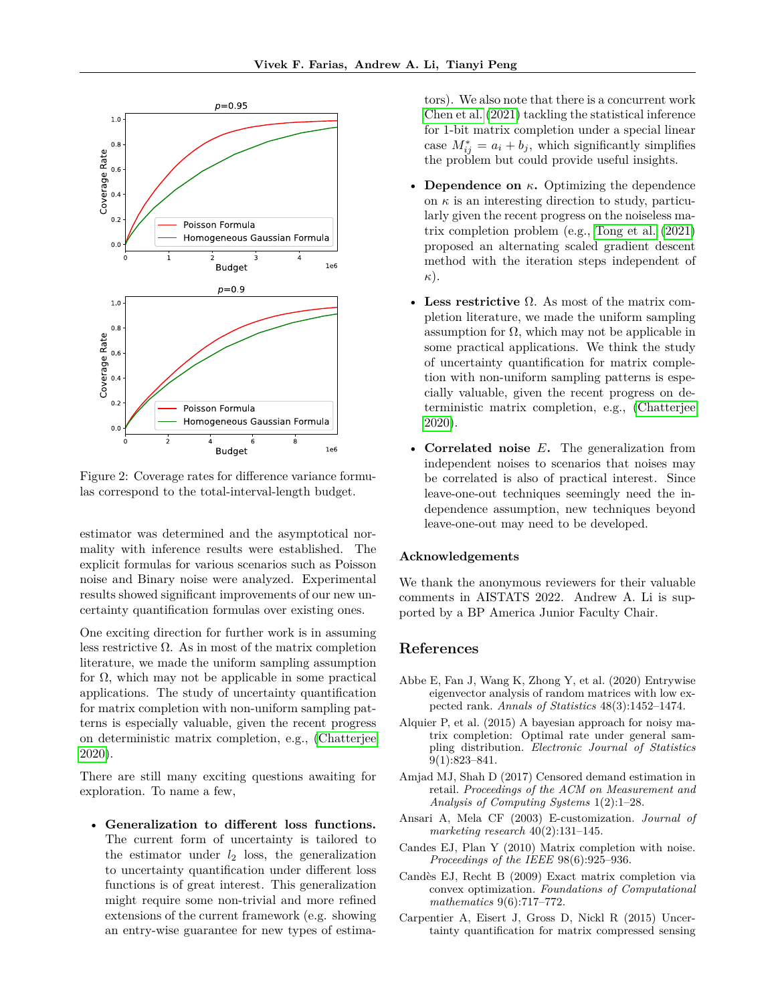<span id="page-8-7"></span>

Figure 2: Coverage rates for difference variance formulas correspond to the total-interval-length budget.

estimator was determined and the asymptotical normality with inference results were established. The explicit formulas for various scenarios such as Poisson noise and Binary noise were analyzed. Experimental results showed significant improvements of our new uncertainty quantification formulas over existing ones.

One exciting direction for further work is in assuming less restrictive  $\Omega$ . As in most of the matrix completion literature, we made the uniform sampling assumption for Ω, which may not be applicable in some practical applications. The study of uncertainty quantification for matrix completion with non-uniform sampling patterns is especially valuable, given the recent progress on deterministic matrix completion, e.g., [\(Chatterjee](#page-9-32) [2020\)](#page-9-32).

There are still many exciting questions awaiting for exploration. To name a few,

• **Generalization to different loss functions.** The current form of uncertainty is tailored to the estimator under *l*<sup>2</sup> loss, the generalization to uncertainty quantification under different loss functions is of great interest. This generalization might require some non-trivial and more refined extensions of the current framework (e.g. showing an entry-wise guarantee for new types of estimators). We also note that there is a concurrent work [Chen et al.](#page-9-33) [\(2021\)](#page-9-33) tackling the statistical inference for 1-bit matrix completion under a special linear case  $M_{ij}^* = a_i + b_j$ , which significantly simplifies the problem but could provide useful insights.

- **Dependence on** *κ***.** Optimizing the dependence on  $\kappa$  is an interesting direction to study, particularly given the recent progress on the noiseless matrix completion problem (e.g., [Tong et al.](#page-10-5) [\(2021\)](#page-10-5) proposed an alternating scaled gradient descent method with the iteration steps independent of *κ*).
- **Less restrictive** Ω. As most of the matrix completion literature, we made the uniform sampling assumption for  $\Omega$ , which may not be applicable in some practical applications. We think the study of uncertainty quantification for matrix completion with non-uniform sampling patterns is especially valuable, given the recent progress on deterministic matrix completion, e.g., [\(Chatterjee](#page-9-32) [2020\)](#page-9-32).
- **Correlated noise** *E***.** The generalization from independent noises to scenarios that noises may be correlated is also of practical interest. Since leave-one-out techniques seemingly need the independence assumption, new techniques beyond leave-one-out may need to be developed.

#### **Acknowledgements**

We thank the anonymous reviewers for their valuable comments in AISTATS 2022. Andrew A. Li is supported by a BP America Junior Faculty Chair.

### **References**

- <span id="page-8-3"></span>Abbe E, Fan J, Wang K, Zhong Y, et al. (2020) Entrywise eigenvector analysis of random matrices with low expected rank. *Annals of Statistics* 48(3):1452–1474.
- <span id="page-8-6"></span>Alquier P, et al. (2015) A bayesian approach for noisy matrix completion: Optimal rate under general sampling distribution. *Electronic Journal of Statistics* 9(1):823–841.
- <span id="page-8-2"></span>Amjad MJ, Shah D (2017) Censored demand estimation in retail. *Proceedings of the ACM on Measurement and Analysis of Computing Systems* 1(2):1–28.
- <span id="page-8-4"></span>Ansari A, Mela CF (2003) E-customization. *Journal of marketing research* 40(2):131–145.
- <span id="page-8-1"></span>Candes EJ, Plan Y (2010) Matrix completion with noise. *Proceedings of the IEEE* 98(6):925–936.
- <span id="page-8-0"></span>Candès EJ, Recht B (2009) Exact matrix completion via convex optimization. *Foundations of Computational mathematics* 9(6):717–772.
- <span id="page-8-5"></span>Carpentier A, Eisert J, Gross D, Nickl R (2015) Uncertainty quantification for matrix compressed sensing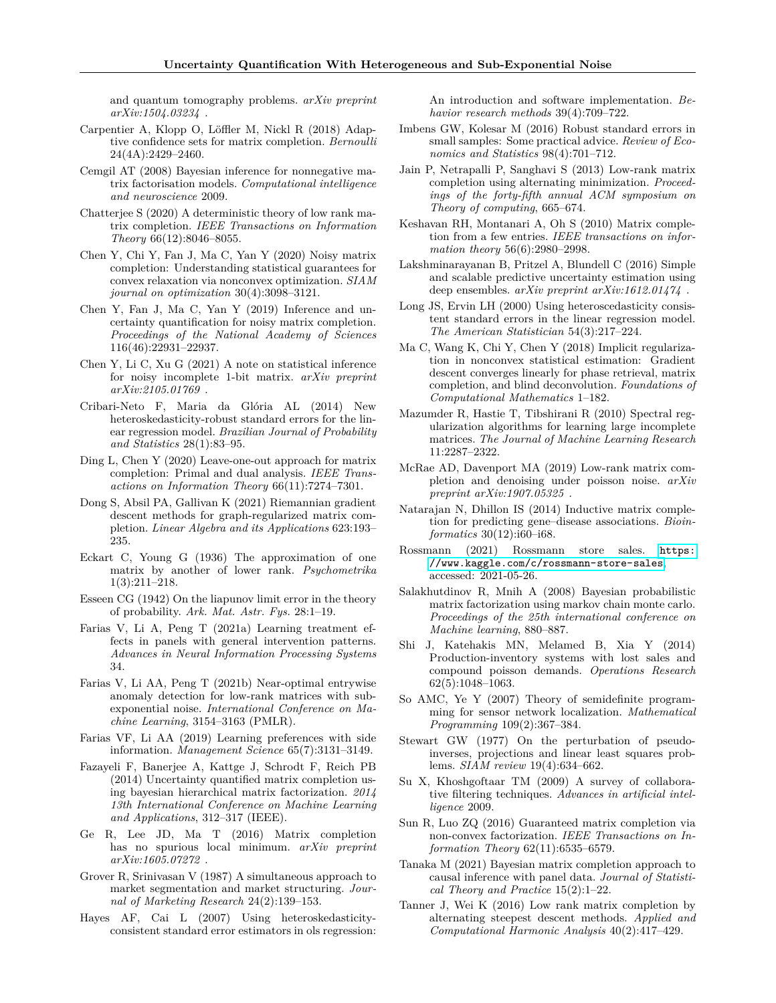and quantum tomography problems. *arXiv preprint arXiv:1504.03234* .

- <span id="page-9-17"></span>Carpentier A, Klopp O, Löffler M, Nickl R (2018) Adaptive confidence sets for matrix completion. *Bernoulli* 24(4A):2429–2460.
- <span id="page-9-30"></span>Cemgil AT (2008) Bayesian inference for nonnegative matrix factorisation models. *Computational intelligence and neuroscience* 2009.
- <span id="page-9-32"></span>Chatterjee S (2020) A deterministic theory of low rank matrix completion. *IEEE Transactions on Information Theory* 66(12):8046–8055.
- <span id="page-9-13"></span>Chen Y, Chi Y, Fan J, Ma C, Yan Y (2020) Noisy matrix completion: Understanding statistical guarantees for convex relaxation via nonconvex optimization. *SIAM journal on optimization* 30(4):3098–3121.
- <span id="page-9-12"></span>Chen Y, Fan J, Ma C, Yan Y (2019) Inference and uncertainty quantification for noisy matrix completion. *Proceedings of the National Academy of Sciences* 116(46):22931–22937.
- <span id="page-9-33"></span>Chen Y, Li C, Xu G (2021) A note on statistical inference for noisy incomplete 1-bit matrix. *arXiv preprint arXiv:2105.01769* .
- <span id="page-9-26"></span>Cribari-Neto F, Maria da Glória AL (2014) New heteroskedasticity-robust standard errors for the linear regression model. *Brazilian Journal of Probability and Statistics* 28(1):83–95.
- <span id="page-9-11"></span>Ding L, Chen Y (2020) Leave-one-out approach for matrix completion: Primal and dual analysis. *IEEE Transactions on Information Theory* 66(11):7274–7301.
- <span id="page-9-4"></span>Dong S, Absil PA, Gallivan K (2021) Riemannian gradient descent methods for graph-regularized matrix completion. *Linear Algebra and its Applications* 623:193– 235.
- <span id="page-9-28"></span>Eckart C, Young G (1936) The approximation of one matrix by another of lower rank. *Psychometrika* 1(3):211–218.
- Esseen CG (1942) On the liapunov limit error in the theory of probability. *Ark. Mat. Astr. Fys.* 28:1–19.
- <span id="page-9-9"></span>Farias V, Li A, Peng T (2021a) Learning treatment effects in panels with general intervention patterns. *Advances in Neural Information Processing Systems* 34.
- <span id="page-9-22"></span>Farias V, Li AA, Peng T (2021b) Near-optimal entrywise anomaly detection for low-rank matrices with subexponential noise. *International Conference on Machine Learning*, 3154–3163 (PMLR).
- <span id="page-9-29"></span>Farias VF, Li AA (2019) Learning preferences with side information. *Management Science* 65(7):3131–3149.
- <span id="page-9-19"></span>Fazayeli F, Banerjee A, Kattge J, Schrodt F, Reich PB (2014) Uncertainty quantified matrix completion using bayesian hierarchical matrix factorization. *2014 13th International Conference on Machine Learning and Applications*, 312–317 (IEEE).
- <span id="page-9-5"></span>Ge R, Lee JD, Ma T (2016) Matrix completion has no spurious local minimum. *arXiv preprint arXiv:1605.07272* .
- <span id="page-9-15"></span>Grover R, Srinivasan V (1987) A simultaneous approach to market segmentation and market structuring. *Journal of Marketing Research* 24(2):139–153.
- <span id="page-9-24"></span>Hayes AF, Cai L (2007) Using heteroskedasticityconsistent standard error estimators in ols regression:

An introduction and software implementation. *Behavior research methods* 39(4):709–722.

- <span id="page-9-25"></span>Imbens GW, Kolesar M (2016) Robust standard errors in small samples: Some practical advice. *Review of Economics and Statistics* 98(4):701–712.
- <span id="page-9-2"></span>Jain P, Netrapalli P, Sanghavi S (2013) Low-rank matrix completion using alternating minimization. *Proceedings of the forty-fifth annual ACM symposium on Theory of computing*, 665–674.
- <span id="page-9-0"></span>Keshavan RH, Montanari A, Oh S (2010) Matrix completion from a few entries. *IEEE transactions on information theory* 56(6):2980–2998.
- <span id="page-9-21"></span>Lakshminarayanan B, Pritzel A, Blundell C (2016) Simple and scalable predictive uncertainty estimation using deep ensembles. *arXiv preprint arXiv:1612.01474* .
- <span id="page-9-23"></span>Long JS, Ervin LH (2000) Using heteroscedasticity consistent standard errors in the linear regression model. *The American Statistician* 54(3):217–224.
- <span id="page-9-10"></span>Ma C, Wang K, Chi Y, Chen Y (2018) Implicit regularization in nonconvex statistical estimation: Gradient descent converges linearly for phase retrieval, matrix completion, and blind deconvolution. *Foundations of Computational Mathematics* 1–182.
- <span id="page-9-1"></span>Mazumder R, Hastie T, Tibshirani R (2010) Spectral regularization algorithms for learning large incomplete matrices. *The Journal of Machine Learning Research* 11:2287–2322.
- <span id="page-9-16"></span>McRae AD, Davenport MA (2019) Low-rank matrix completion and denoising under poisson noise. *arXiv preprint arXiv:1907.05325* .
- <span id="page-9-7"></span>Natarajan N, Dhillon IS (2014) Inductive matrix completion for predicting gene–disease associations. *Bioinformatics* 30(12):i60–i68.
- <span id="page-9-31"></span>Rossmann (2021) Rossmann store sales. [https:](https://www.kaggle.com/c/rossmann-store-sales) [//www.kaggle.com/c/rossmann-store-sales](https://www.kaggle.com/c/rossmann-store-sales), accessed: 2021-05-26.
- <span id="page-9-18"></span>Salakhutdinov R, Mnih A (2008) Bayesian probabilistic matrix factorization using markov chain monte carlo. *Proceedings of the 25th international conference on Machine learning*, 880–887.
- <span id="page-9-14"></span>Shi J, Katehakis MN, Melamed B, Xia Y (2014) Production-inventory systems with lost sales and compound poisson demands. *Operations Research* 62(5):1048–1063.
- <span id="page-9-8"></span>So AMC, Ye Y (2007) Theory of semidefinite programming for sensor network localization. *Mathematical Programming* 109(2):367–384.
- Stewart GW (1977) On the perturbation of pseudoinverses, projections and linear least squares problems. *SIAM review* 19(4):634–662.
- <span id="page-9-6"></span>Su X, Khoshgoftaar TM (2009) A survey of collaborative filtering techniques. *Advances in artificial intelligence* 2009.
- <span id="page-9-27"></span>Sun R, Luo ZQ (2016) Guaranteed matrix completion via non-convex factorization. *IEEE Transactions on Information Theory* 62(11):6535–6579.
- <span id="page-9-20"></span>Tanaka M (2021) Bayesian matrix completion approach to causal inference with panel data. *Journal of Statistical Theory and Practice* 15(2):1–22.
- <span id="page-9-3"></span>Tanner J, Wei K (2016) Low rank matrix completion by alternating steepest descent methods. *Applied and Computational Harmonic Analysis* 40(2):417–429.